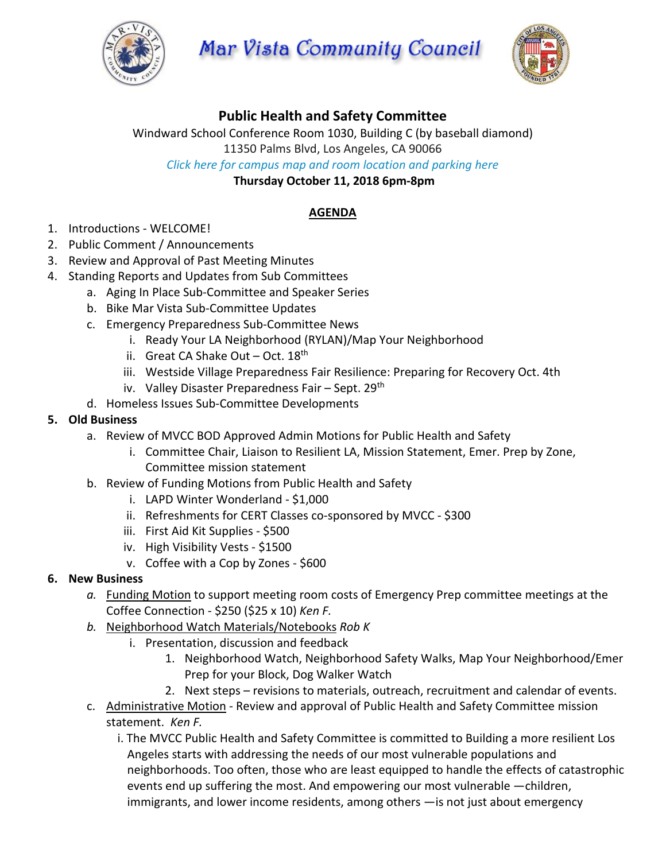

**Mar Vista Community Council** 



# **Public Health and Safety Committee**

Windward School Conference Room 1030, Building C (by baseball diamond)

11350 Palms Blvd, Los Angeles, CA 90066

*Click here for campus map and room [location](https://windwardschool.myschoolapp.com/ftpimages/176/download/download_1671327.pdf) and parking here*

**Thursday October 11, 2018 6pm-8pm**

## **AGENDA**

- 1. Introductions WELCOME!
- 2. Public Comment / Announcements
- 3. Review and Approval of Past Meeting Minutes
- 4. Standing Reports and Updates from Sub Committees
	- a. Aging In Place Sub-Committee and Speaker Series
	- b. Bike Mar Vista Sub-Committee Updates
	- c. Emergency Preparedness Sub-Committee News
		- i. Ready Your LA Neighborhood (RYLAN)/Map Your Neighborhood
		- ii. Great CA Shake Out  $-$  Oct.  $18<sup>th</sup>$
		- iii. Westside Village Preparedness Fair Resilience: Preparing for Recovery Oct. 4th
		- iv. Valley Disaster Preparedness Fair Sept. 29<sup>th</sup>
	- d. Homeless Issues Sub-Committee Developments

#### **5. Old Business**

- a. Review of MVCC BOD Approved Admin Motions for Public Health and Safety
	- i. Committee Chair, Liaison to Resilient LA, Mission Statement, Emer. Prep by Zone, Committee mission statement
- b. Review of Funding Motions from Public Health and Safety
	- i. LAPD Winter Wonderland \$1,000
	- ii. Refreshments for CERT Classes co-sponsored by MVCC \$300
	- iii. First Aid Kit Supplies \$500
	- iv. High Visibility Vests \$1500
	- v. Coffee with a Cop by Zones \$600

## **6. New Business**

- *a.* Funding Motion to support meeting room costs of Emergency Prep committee meetings at the Coffee Connection - \$250 (\$25 x 10) *Ken F.*
- *b.* Neighborhood Watch Materials/Notebooks *Rob K*
	- i. Presentation, discussion and feedback
		- 1. Neighborhood Watch, Neighborhood Safety Walks, Map Your Neighborhood/Emer Prep for your Block, Dog Walker Watch
		- 2. Next steps revisions to materials, outreach, recruitment and calendar of events.
- c. Administrative Motion Review and approval of Public Health and Safety Committee mission statement. *Ken F.*

i. The MVCC Public Health and Safety Committee is committed to Building a more resilient Los Angeles starts with addressing the needs of our most vulnerable populations and neighborhoods. Too often, those who are least equipped to handle the effects of catastrophic events end up suffering the most. And empowering our most vulnerable —children, immigrants, and lower income residents, among others —is not just about emergency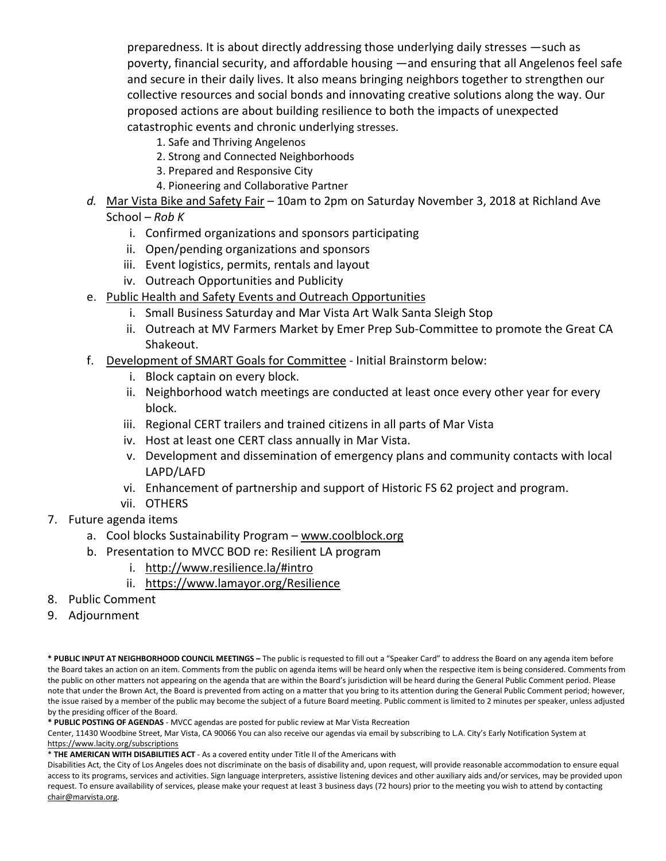preparedness. It is about directly addressing those underlying daily stresses —such as poverty, financial security, and affordable housing —and ensuring that all Angelenos feel safe and secure in their daily lives. It also means bringing neighbors together to strengthen our collective resources and social bonds and innovating creative solutions along the way. Our proposed actions are about building resilience to both the impacts of unexpected catastrophic events and chronic underlying stresses.

- 1. Safe and Thriving Angelenos
- 2. Strong and Connected Neighborhoods
- 3. Prepared and Responsive City
- 4. Pioneering and Collaborative Partner
- *d.* Mar Vista Bike and Safety Fair 10am to 2pm on Saturday November 3, 2018 at Richland Ave School – *Rob K*
	- i. Confirmed organizations and sponsors participating
	- ii. Open/pending organizations and sponsors
	- iii. Event logistics, permits, rentals and layout
	- iv. Outreach Opportunities and Publicity
- e. Public Health and Safety Events and Outreach Opportunities
	- i. Small Business Saturday and Mar Vista Art Walk Santa Sleigh Stop
	- ii. Outreach at MV Farmers Market by Emer Prep Sub-Committee to promote the Great CA Shakeout.
- f. Development of SMART Goals for Committee Initial Brainstorm below:
	- i. Block captain on every block.
	- ii. Neighborhood watch meetings are conducted at least once every other year for every block.
	- iii. Regional CERT trailers and trained citizens in all parts of Mar Vista
	- iv. Host at least one CERT class annually in Mar Vista.
	- v. Development and dissemination of emergency plans and community contacts with local LAPD/LAFD
	- vi. Enhancement of partnership and support of Historic FS 62 project and program.
	- vii. OTHERS
- 7. Future agenda items
	- a. Cool blocks Sustainability Program [www.coolblock.org](http://www.coolblock.org/)
	- b. Presentation to MVCC BOD re: Resilient LA program
		- i. <http://www.resilience.la/#intro>
		- ii. <https://www.lamayor.org/Resilience>
- 8. Public Comment
- 9. Adjournment

**\* PUBLIC INPUT AT NEIGHBORHOOD COUNCIL MEETINGS –** The public is requested to fill out a "Speaker Card" to address the Board on any agenda item before the Board takes an action on an item. Comments from the public on agenda items will be heard only when the respective item is being considered. Comments from the public on other matters not appearing on the agenda that are within the Board's jurisdiction will be heard during the General Public Comment period. Please note that under the Brown Act, the Board is prevented from acting on a matter that you bring to its attention during the General Public Comment period; however, the issue raised by a member of the public may become the subject of a future Board meeting. Public comment is limited to 2 minutes per speaker, unless adjusted by the presiding officer of the Board.

**\* PUBLIC POSTING OF AGENDAS** - MVCC agendas are posted for public review at Mar Vista Recreation

Center, 11430 Woodbine Street, Mar Vista, CA 90066 You can also receive our agendas via email by subscribing to L.A. City's Early Notification System at <https://www.lacity.org/subscriptions>

\* **THE AMERICAN WITH DISABILITIES ACT** - As a covered entity under Title II of the Americans with

Disabilities Act, the City of Los Angeles does not discriminate on the basis of disability and, upon request, will provide reasonable accommodation to ensure equal access to its programs, services and activities. Sign language interpreters, assistive listening devices and other auxiliary aids and/or services, may be provided upon request. To ensure availability of services, please make your request at least 3 business days (72 hours) prior to the meeting you wish to attend by contacting [chair@marvista.org.](mailto:chair@marvista.org)